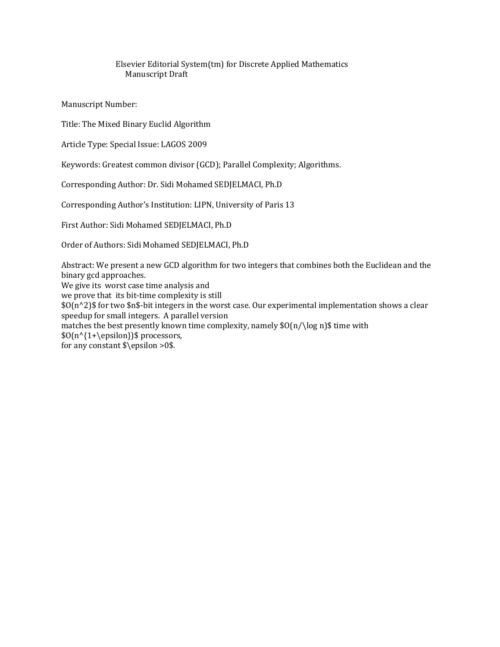# Elsevier Editorial System(tm) for Discrete Applied Mathematics Manuscript Draft

Manuscript Number:

Title: The Mixed Binary Euclid Algorithm

Article Type: Special Issue: LAGOS 2009

Keywords: Greatest common divisor (GCD); Parallel Complexity; Algorithms.

Corresponding Author: Dr. Sidi Mohamed SEDJELMACI, Ph.D

Corresponding Author's Institution: LIPN, University of Paris 13

First Author: Sidi Mohamed SEDJELMACI, Ph.D

Order of Authors: Sidi Mohamed SEDJELMACI, Ph.D

Abstract: We present a new GCD algorithm for two integers that combines both the Euclidean and the binary gcd approaches. We give its worst case time analysis and we prove that its bit-time complexity is still \$O(n^2)\$ for two \$n\$-bit integers in the worst case. Our experimental implementation shows a clear speedup for small integers. A parallel version matches the best presently known time complexity, namely  $\mathcal{O}(n/\log n)$  time with \$O(n^{1+\epsilon})\$ processors, for any constant \$\epsilon >0\$.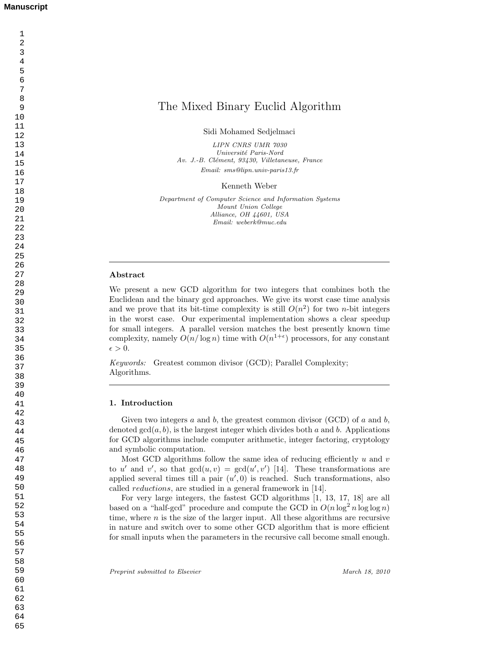# The Mixed Binary Euclid Algorithm

Sidi Mohamed Sedjelmaci

LIPN CNRS UMR 7030 Université Paris-Nord Av. J.-B. Clément, 93430, Villetaneuse, France Email: sms@lipn.univ-paris13.fr

Kenneth Weber

Department of Computer Science and Information Systems Mount Union College Alliance, OH 44601, USA Email: weberk@muc.edu

#### Abstract

We present a new GCD algorithm for two integers that combines both the Euclidean and the binary gcd approaches. We give its worst case time analysis and we prove that its bit-time complexity is still  $O(n^2)$  for two *n*-bit integers in the worst case. Our experimental implementation shows a clear speedup for small integers. A parallel version matches the best presently known time complexity, namely  $O(n/\log n)$  time with  $O(n^{1+\epsilon})$  processors, for any constant  $\epsilon > 0$ .

Keywords: Greatest common divisor (GCD); Parallel Complexity; Algorithms.

# 1. Introduction

Given two integers a and b, the greatest common divisor (GCD) of a and b, denoted  $gcd(a, b)$ , is the largest integer which divides both a and b. Applications for GCD algorithms include computer arithmetic, integer factoring, cryptology and symbolic computation.

Most GCD algorithms follow the same idea of reducing efficiently  $u$  and  $v$ to u' and v', so that  $gcd(u, v) = gcd(u', v')$  [14]. These transformations are applied several times till a pair  $(u', 0)$  is reached. Such transformations, also called reductions, are studied in a general framework in [14].

For very large integers, the fastest GCD algorithms [1, 13, 17, 18] are all based on a "half-gcd" procedure and compute the GCD in  $O(n \log^2 n \log \log n)$ time, where  $n$  is the size of the larger input. All these algorithms are recursive in nature and switch over to some other GCD algorithm that is more efficient for small inputs when the parameters in the recursive call become small enough.

Preprint submitted to Elsevier and the series of the March 18, 2010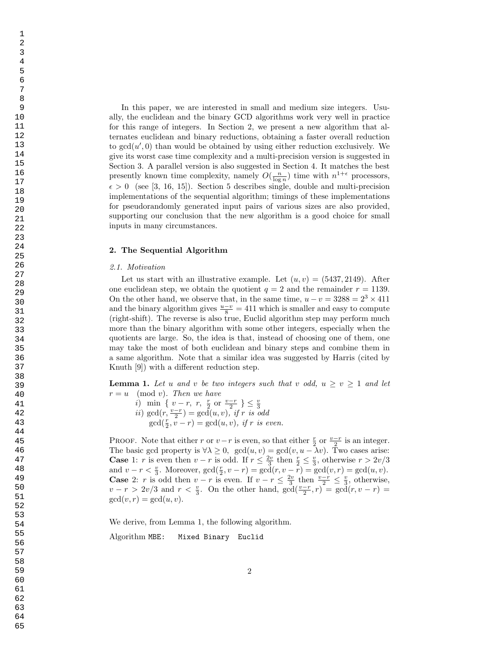In this paper, we are interested in small and medium size integers. Usually, the euclidean and the binary GCD algorithms work very well in practice for this range of integers. In Section 2, we present a new algorithm that alternates euclidean and binary reductions, obtaining a faster overall reduction to  $gcd(u', 0)$  than would be obtained by using either reduction exclusively. We give its worst case time complexity and a multi-precision version is suggested in Section 3. A parallel version is also suggested in Section 4. It matches the best presently known time complexity, namely  $O(\frac{n}{\log n})$  time with  $n^{1+\epsilon}$  processors,  $\epsilon > 0$  (see [3, 16, 15]). Section 5 describes single, double and multi-precision implementations of the sequential algorithm; timings of these implementations for pseudorandomly generated input pairs of various sizes are also provided, supporting our conclusion that the new algorithm is a good choice for small inputs in many circumstances.

#### 2. The Sequential Algorithm

#### 2.1. Motivation

Let us start with an illustrative example. Let  $(u, v) = (5437, 2149)$ . After one euclidean step, we obtain the quotient  $q = 2$  and the remainder  $r = 1139$ . On the other hand, we observe that, in the same time,  $u - v = 3288 = 2^3 \times 411$ and the binary algorithm gives  $\frac{u-v}{8} = 411$  which is smaller and easy to compute (right-shift). The reverse is also true, Euclid algorithm step may perform much more than the binary algorithm with some other integers, especially when the quotients are large. So, the idea is that, instead of choosing one of them, one may take the most of both euclidean and binary steps and combine them in a same algorithm. Note that a similar idea was suggested by Harris (cited by Knuth [9]) with a different reduction step.

**Lemma 1.** Let u and v be two integers such that v odd,  $u \ge v \ge 1$  and let  $r = u \pmod{v}$ . Then we have

- *i*) min {  $v r$ ,  $r$ ,  $\frac{r}{2}$  or  $\frac{v-r}{2}$ }  $\leq \frac{v}{3}$ <br>*ii*) gcd( $r$ ,  $\frac{v-r}{2}$ ) = gcd( $u$ ,  $v$ ), *if*  $r$  *is odd*
- $gcd(\frac{r}{2}, \tilde{v} r) = gcd(u, v), \text{ if } r \text{ is even.}$

PROOF. Note that either r or  $v-r$  is even, so that either  $\frac{r}{2}$  or  $\frac{v-r}{2}$  is an integer. The basic gcd property is  $\forall \lambda \geq 0$ ,  $gcd(u, v) = gcd(v, u - \lambda v)$ . Two cases arise: **Case** 1: *r* is even then  $v - r$  is odd. If  $r \leq \frac{2v}{3}$  then  $\frac{r}{2} \leq \frac{v}{3}$ , otherwise  $r > 2v/3$ and  $v - r < \frac{v}{3}$ . Moreover,  $gcd(\frac{r}{2}, v - r) = gcd(r, v - \overline{r}) = gcd(v, r) = gcd(u, v)$ . **Case** 2: r is odd then  $v - r$  is even. If  $v - r \leq \frac{2v}{3}$  then  $\frac{v-r}{2} \leq \frac{v}{3}$ , otherwise,  $v - r > 2v/3$  and  $r < \frac{v}{3}$ . On the other hand,  $gcd(\frac{v-r}{2}, r) = gcd(r, v - r)$  $gcd(v, r) = gcd(u, v).$ 

We derive, from Lemma 1, the following algorithm.

Algorithm MBE: Mixed Binary Euclid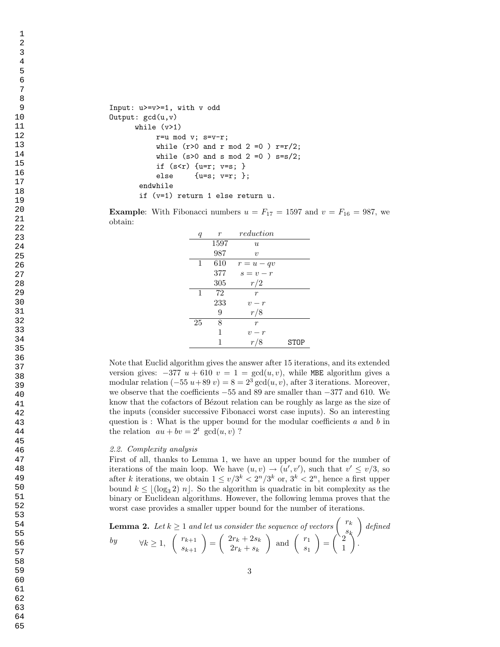```
Input: u>=v>=1, with v odd
Output: gcd(u,v)
      while (v>1)
           r=u \mod v; s=v-r;while (r>0 and r mod 2 = 0 ) r=r/2;
           while (s>0 and s mod 2 = 0 ) s=s/2;
           if (s < r) \{u = r; v = s; \}else {u=s; v=r; };
       endwhile
       if (v=1) return 1 else return u.
```
**Example:** With Fibonacci numbers  $u = F_{17} = 1597$  and  $v = F_{16} = 987$ , we obtain:

| q  | r    | reduction           |      |
|----|------|---------------------|------|
|    | 1597 | $\boldsymbol{u}$    |      |
|    | 987  | $\boldsymbol{\eta}$ |      |
| 1  | 610  | $r = u - qv$        |      |
|    | 377  | $s = v - r$         |      |
|    | 305  | r/2                 |      |
| 1  | 72   | r                   |      |
|    | 233  | $v-r$               |      |
|    | 9    | r/8                 |      |
| 25 | 8    | r                   |      |
|    | 1    | $v-r$               |      |
|    |      |                     | STOP |

Note that Euclid algorithm gives the answer after 15 iterations, and its extended version gives:  $-377 u + 610 v = 1 = \text{gcd}(u, v)$ , while MBE algorithm gives a modular relation  $(-55 u+89 v) = 8 = 2<sup>3</sup> gcd(u, v)$ , after 3 iterations. Moreover, we observe that the coefficients −55 and 89 are smaller than −377 and 610. We know that the cofactors of Bézout relation can be roughly as large as the size of the inputs (consider successive Fibonacci worst case inputs). So an interesting question is : What is the upper bound for the modular coefficients  $a$  and  $b$  in the relation  $au + bv = 2^t \gcd(u, v)$ ?

### 2.2. Complexity analysis

First of all, thanks to Lemma 1, we have an upper bound for the number of iterations of the main loop. We have  $(u, v) \rightarrow (u', v')$ , such that  $v' \leq v/3$ , so after k iterations, we obtain  $1 \le v/3^k < 2^n/3^k$  or,  $3^k < 2^n$ , hence a first upper bound  $k \leq |(\log_3 2) n|$ . So the algorithm is quadratic in bit complexity as the binary or Euclidean algorithms. However, the following lemma proves that the worst case provides a smaller upper bound for the number of iterations.

**Lemma 2.** Let 
$$
k \ge 1
$$
 and let us consider the sequence of vectors  $\begin{pmatrix} r_k \\ s_k \end{pmatrix}$  defined  
by  $\forall k \ge 1$ ,  $\begin{pmatrix} r_{k+1} \\ s_{k+1} \end{pmatrix} = \begin{pmatrix} 2r_k + 2s_k \\ 2r_k + s_k \end{pmatrix}$  and  $\begin{pmatrix} r_1 \\ s_1 \end{pmatrix} = \begin{pmatrix} 2 \\ 1 \end{pmatrix}$ .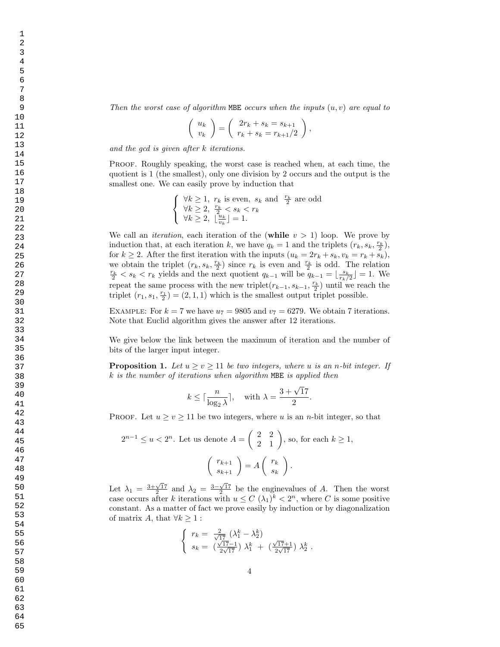Then the worst case of algorithm MBE occurs when the inputs  $(u, v)$  are equal to

$$
\left(\begin{array}{c} u_k \\ v_k \end{array}\right) = \left(\begin{array}{c} 2r_k + s_k = s_{k+1} \\ r_k + s_k = r_{k+1}/2 \end{array}\right),
$$

and the gcd is given after k iterations.

Proof. Roughly speaking, the worst case is reached when, at each time, the quotient is 1 (the smallest), only one division by 2 occurs and the output is the smallest one. We can easily prove by induction that

$$
\left\{\begin{array}{l}\forall k\geq 1,\ r_k\text{ is even, }s_k\text{ and }\frac{r_k}{2}\text{ are odd}\\\forall k\geq 2,\ \frac{r_k}{2}
$$

We call an *iteration*, each iteration of the (while  $v > 1$ ) loop. We prove by induction that, at each iteration k, we have  $q_k = 1$  and the triplets  $(r_k, s_k, \frac{r_k}{2})$ , for  $k \geq 2$ . After the first iteration with the inputs  $(u_k = 2r_k + s_k, v_k = r_k + s_k)$ , we obtain the triplet  $(r_k, s_k, \frac{r_k}{2})$  since  $r_k$  is even and  $\frac{r_k}{2}$  is odd. The relation  $\frac{r_k}{2}$  <  $s_k$  <  $r_k$  yields and the next quotient  $q_{k-1}$  will be  $q_{k-1} = \lfloor \frac{s_k}{r_k/2} \rfloor = 1$ . We repeat the same process with the new triplet $(r_{k-1}, s_{k-1}, \frac{r_k}{2})$  until we reach the triplet  $(r_1, s_1, \frac{r_1}{2}) = (2, 1, 1)$  which is the smallest output triplet possible.

EXAMPLE: For  $k = 7$  we have  $u_7 = 9805$  and  $v_7 = 6279$ . We obtain 7 iterations. Note that Euclid algorithm gives the answer after 12 iterations.

We give below the link between the maximum of iteration and the number of bits of the larger input integer.

**Proposition 1.** Let  $u \ge v \ge 11$  be two integers, where u is an n-bit integer. If k is the number of iterations when algorithm MBE is applied then

$$
k \le \lceil \frac{n}{\log_2 \lambda} \rceil
$$
, with  $\lambda = \frac{3 + \sqrt{17}}{2}$ .

PROOF. Let  $u \ge v \ge 11$  be two integers, where u is an n-bit integer, so that

$$
2^{n-1} \le u < 2^n. \text{ Let us denote } A = \begin{pmatrix} 2 & 2 \\ 2 & 1 \end{pmatrix}, \text{ so, for each } k \ge 1,
$$
\n
$$
\begin{pmatrix} r_{k+1} \\ s_{k+1} \end{pmatrix} = A \begin{pmatrix} r_k \\ s_k \end{pmatrix}.
$$

Let  $\lambda_1 = \frac{3+\sqrt{17}}{2}$  and  $\lambda_2 = \frac{3-\sqrt{17}}{2}$  be the enginevalues of A. Then the worst case occurs after k iterations with  $u \leq C (\lambda_1)^k < 2^n$ , where C is some positive constant. As a matter of fact we prove easily by induction or by diagonalization of matrix A, that  $\forall k \geq 1$ :

$$
\begin{cases}\n r_k = \frac{2}{\sqrt{17}} \left( \lambda_1^k - \lambda_2^k \right) \\
 s_k = \left( \frac{\sqrt{17}-1}{2\sqrt{17}} \right) \lambda_1^k + \left( \frac{\sqrt{17}+1}{2\sqrt{17}} \right) \lambda_2^k\n\end{cases}
$$

4

.

1

63 64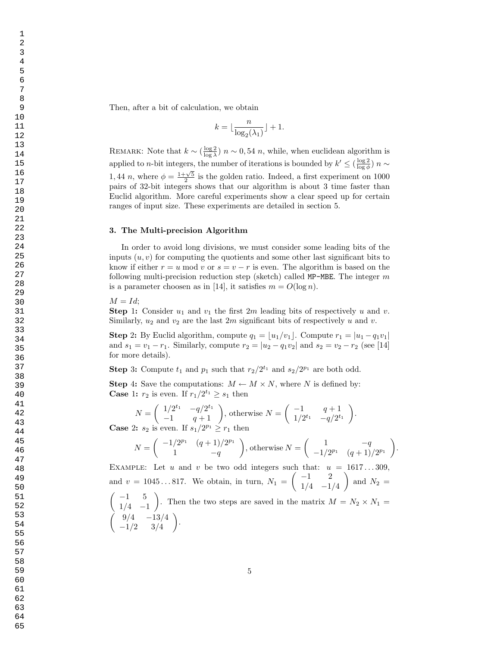Then, after a bit of calculation, we obtain

$$
k = \lfloor \frac{n}{\log_2(\lambda_1)} \rfloor + 1.
$$

REMARK: Note that  $k \sim (\frac{\log 2}{\log \lambda}) n \sim 0, 54 n$ , while, when euclidean algorithm is applied to *n*-bit integers, the number of iterations is bounded by  $k' \leq (\frac{\log 2}{\log \phi}) n \sim$ 1, 44 n, where  $\phi = \frac{1+\sqrt{5}}{2}$  is the golden ratio. Indeed, a first experiment on 1000 pairs of 32-bit integers shows that our algorithm is about 3 time faster than Euclid algorithm. More careful experiments show a clear speed up for certain ranges of input size. These experiments are detailed in section 5.

## 3. The Multi-precision Algorithm

In order to avoid long divisions, we must consider some leading bits of the inputs  $(u, v)$  for computing the quotients and some other last significant bits to know if either  $r = u \mod v$  or  $s = v - r$  is even. The algorithm is based on the following multi-precision reduction step (sketch) called MP-MBE. The integer  $m$ is a parameter choosen as in [14], it satisfies  $m = O(\log n)$ .

 $M = Id;$ 

**Step 1:** Consider  $u_1$  and  $v_1$  the first  $2m$  leading bits of respectively u and v. Similarly,  $u_2$  and  $v_2$  are the last 2m significant bits of respectively u and v.

**Step 2:** By Euclid algorithm, compute  $q_1 = \lfloor u_1/v_1 \rfloor$ . Compute  $r_1 = |u_1 - q_1v_1|$ and  $s_1 = v_1 - r_1$ . Similarly, compute  $r_2 = |u_2 - q_1 v_2|$  and  $s_2 = v_2 - r_2$  (see [14] for more details).

**Step 3:** Compute  $t_1$  and  $p_1$  such that  $r_2/2^{t_1}$  and  $s_2/2^{p_1}$  are both odd.

**Step 4:** Save the computations:  $M \leftarrow M \times N$ , where N is defined by: **Case** 1:  $r_2$  is even. If  $r_1/2^{t_1} \geq s_1$  then

$$
N = \begin{pmatrix} 1/2^{t_1} & -q/2^{t_1} \\ -1 & q+1 \end{pmatrix}
$$
, otherwise  $N = \begin{pmatrix} -1 & q+1 \\ 1/2^{t_1} & -q/2^{t_1} \end{pmatrix}$ .

**Case 2:**  $s_2$  is even. If  $s_1/2^{p_1} \geq r_1$  then

.

$$
N = \begin{pmatrix} -1/2^{p_1} & (q+1)/2^{p_1} \\ 1 & -q \end{pmatrix}, \text{otherwise } N = \begin{pmatrix} 1 & -q \\ -1/2^{p_1} & (q+1)/2^{p_1} \end{pmatrix}.
$$

EXAMPLE: Let u and v be two odd integers such that:  $u = 1617...309$ . and  $v = 1045...817$ . We obtain, in turn,  $N_1 = \begin{pmatrix} -1 & 2 \\ 1/4 & 1 \end{pmatrix}$  $1/4$   $-1/4$ ) and  $N_2 =$  $\begin{pmatrix} -1 & 5 \end{pmatrix}$  $1/4$  -1 ). Then the two steps are saved in the matrix  $M = N_2 \times N_1 =$ 

$$
\left(\begin{array}{cc}9/4 & -13/4\\-1/2 & 3/4\end{array}\right)
$$

1

63 64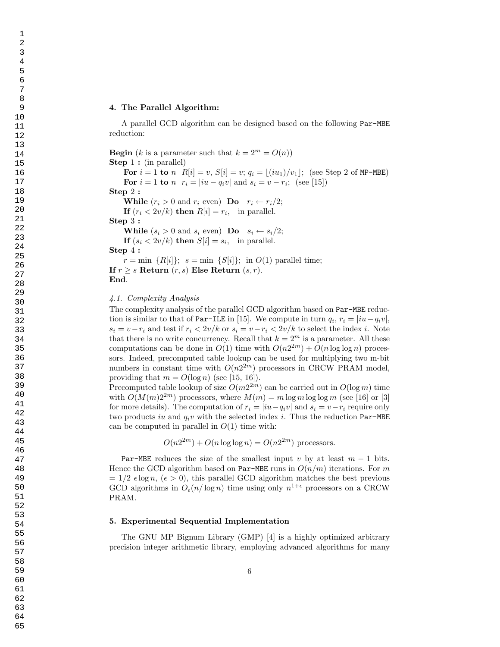# 4. The Parallel Algorithm:

A parallel GCD algorithm can be designed based on the following Par-MBE reduction:

**Begin** (k is a parameter such that  $k = 2^m = O(n)$ ) Step 1 : (in parallel) For  $i = 1$  to n  $R[i] = v$ ,  $S[i] = v$ ;  $q_i = \lfloor (iu_1)/v_1 \rfloor$ ; (see Step 2 of MP-MBE) **For**  $i = 1$  to  $n$   $r_i = |iu - q_i v|$  and  $s_i = v - r_i$ ; (see [15]) Step 2 : **While**  $(r_i > 0$  and  $r_i$  even) **Do**  $r_i \leftarrow r_i/2$ ; If  $(r_i < 2v/k)$  then  $R[i] = r_i$ , in parallel. Step 3 : While  $(s_i > 0$  and  $s_i$  even) Do  $s_i \leftarrow s_i/2$ ; If  $(s_i < 2v/k)$  then  $S[i] = s_i$ , in parallel. Step 4 :  $r = \min \{R[i]\}; s = \min \{S[i]\}; \text{ in } O(1) \text{ parallel time};$ If  $r \geq s$  Return  $(r, s)$  Else Return  $(s, r)$ .

End.

#### 4.1. Complexity Analysis

The complexity analysis of the parallel GCD algorithm based on Par-MBE reduction is similar to that of Par-ILE in [15]. We compute in turn  $q_i$ ,  $r_i = |iu - q_i v|$ ,  $s_i = v - r_i$  and test if  $r_i < 2v/k$  or  $s_i = v - r_i < 2v/k$  to select the index i. Note that there is no write concurrency. Recall that  $k = 2^m$  is a parameter. All these computations can be done in  $O(1)$  time with  $O(n2^{2m}) + O(n \log \log n)$  processors. Indeed, precomputed table lookup can be used for multiplying two m-bit numbers in constant time with  $O(n2^{2m})$  processors in CRCW PRAM model, providing that  $m = O(\log n)$  (see [15, 16]).

Precomputed table lookup of size  $O(m2^{2m})$  can be carried out in  $O(\log m)$  time with  $O(M(m)2^{2m})$  processors, where  $M(m) = m \log m \log \log m$  (see [16] or [3] for more details). The computation of  $r_i = |iu-q_i v|$  and  $s_i = v-r_i$  require only two products iu and  $q_i v$  with the selected index i. Thus the reduction Par-MBE can be computed in parallel in  $O(1)$  time with:

$$
O(n2^{2m}) + O(n \log \log n) = O(n2^{2m})
$$
 processors.

Par-MBE reduces the size of the smallest input v by at least  $m - 1$  bits. Hence the GCD algorithm based on Par-MBE runs in  $O(n/m)$  iterations. For m  $= 1/2 \epsilon \log n$ ,  $(\epsilon > 0)$ , this parallel GCD algorithm matches the best previous GCD algorithms in  $O_{\epsilon}(n/\log n)$  time using only  $n^{1+\epsilon}$  processors on a CRCW PRAM.

# 5. Experimental Sequential Implementation

The GNU MP Bignum Library (GMP) [4] is a highly optimized arbitrary precision integer arithmetic library, employing advanced algorithms for many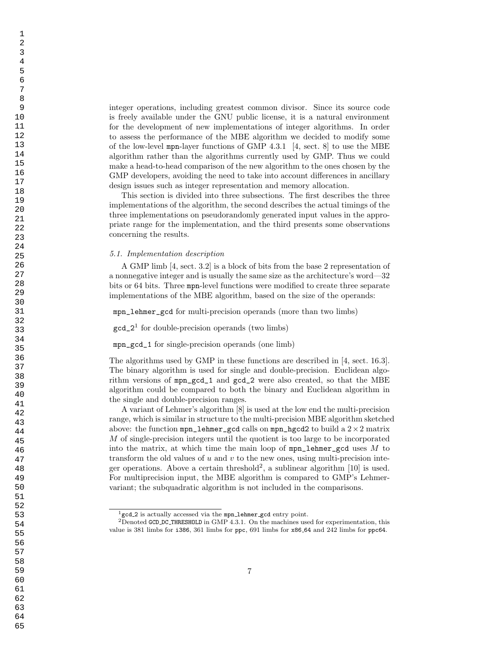integer operations, including greatest common divisor. Since its source code is freely available under the GNU public license, it is a natural environment for the development of new implementations of integer algorithms. In order to assess the performance of the MBE algorithm we decided to modify some of the low-level mpn-layer functions of GMP 4.3.1 [4, sect. 8] to use the MBE algorithm rather than the algorithms currently used by GMP. Thus we could make a head-to-head comparison of the new algorithm to the ones chosen by the GMP developers, avoiding the need to take into account differences in ancillary design issues such as integer representation and memory allocation.

This section is divided into three subsections. The first describes the three implementations of the algorithm, the second describes the actual timings of the three implementations on pseudorandomly generated input values in the appropriate range for the implementation, and the third presents some observations concerning the results.

#### 5.1. Implementation description

A GMP limb [4, sect. 3.2] is a block of bits from the base 2 representation of a nonnegative integer and is usually the same size as the architecture's word—32 bits or 64 bits. Three mpn-level functions were modified to create three separate implementations of the MBE algorithm, based on the size of the operands:

mpn\_lehmer\_gcd for multi-precision operands (more than two limbs)

 $gcd_2^1$  for double-precision operands (two limbs)

mpn\_gcd\_1 for single-precision operands (one limb)

The algorithms used by GMP in these functions are described in [4, sect. 16.3]. The binary algorithm is used for single and double-precision. Euclidean algorithm versions of mpn\_gcd\_1 and gcd\_2 were also created, so that the MBE algorithm could be compared to both the binary and Euclidean algorithm in the single and double-precision ranges.

A variant of Lehmer's algorithm [8] is used at the low end the multi-precision range, which is similar in structure to the multi-precision MBE algorithm sketched above: the function  $m p n$  lehmer god calls on  $m p n$  hgcd2 to build a  $2 \times 2$  matrix M of single-precision integers until the quotient is too large to be incorporated into the matrix, at which time the main loop of  $m p_1$ -lehmer\_gcd uses M to transform the old values of  $u$  and  $v$  to the new ones, using multi-precision integer operations. Above a certain threshold<sup>2</sup>, a sublinear algorithm  $[10]$  is used. For multiprecision input, the MBE algorithm is compared to GMP's Lehmervariant; the subquadratic algorithm is not included in the comparisons.

gcd 2 is actually accessed via the mpn lehmer gcd entry point.

Denoted GCD DC THRESHOLD in GMP 4.3.1. On the machines used for experimentation, this value is 381 limbs for i386, 361 limbs for ppc, 691 limbs for x86 64 and 242 limbs for ppc64.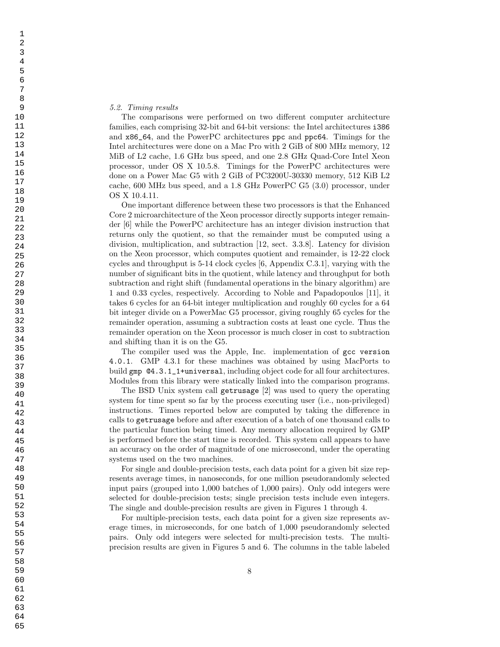#### 5.2. Timing results

The comparisons were performed on two different computer architecture families, each comprising 32-bit and 64-bit versions: the Intel architectures i386 and x86\_64, and the PowerPC architectures ppc and ppc64. Timings for the Intel architectures were done on a Mac Pro with 2 GiB of 800 MHz memory, 12 MiB of L2 cache, 1.6 GHz bus speed, and one 2.8 GHz Quad-Core Intel Xeon processor, under OS X 10.5.8. Timings for the PowerPC architectures were done on a Power Mac G5 with 2 GiB of PC3200U-30330 memory, 512 KiB L2 cache, 600 MHz bus speed, and a 1.8 GHz PowerPC G5 (3.0) processor, under OS X 10.4.11.

One important difference between these two processors is that the Enhanced Core 2 microarchitecture of the Xeon processor directly supports integer remainder [6] while the PowerPC architecture has an integer division instruction that returns only the quotient, so that the remainder must be computed using a division, multiplication, and subtraction [12, sect. 3.3.8]. Latency for division on the Xeon processor, which computes quotient and remainder, is 12-22 clock cycles and throughput is 5-14 clock cycles [6, Appendix C.3.1], varying with the number of significant bits in the quotient, while latency and throughput for both subtraction and right shift (fundamental operations in the binary algorithm) are 1 and 0.33 cycles, respectively. According to Noble and Papadopoulos [11], it takes 6 cycles for an 64-bit integer multiplication and roughly 60 cycles for a 64 bit integer divide on a PowerMac G5 processor, giving roughly 65 cycles for the remainder operation, assuming a subtraction costs at least one cycle. Thus the remainder operation on the Xeon processor is much closer in cost to subtraction and shifting than it is on the G5.

The compiler used was the Apple, Inc. implementation of gcc version 4.0.1. GMP 4.3.1 for these machines was obtained by using MacPorts to build gmp @4.3.1\_1+universal, including object code for all four architectures. Modules from this library were statically linked into the comparison programs.

The BSD Unix system call getrusage [2] was used to query the operating system for time spent so far by the process executing user (i.e., non-privileged) instructions. Times reported below are computed by taking the difference in calls to getrusage before and after execution of a batch of one thousand calls to the particular function being timed. Any memory allocation required by GMP is performed before the start time is recorded. This system call appears to have an accuracy on the order of magnitude of one microsecond, under the operating systems used on the two machines.

For single and double-precision tests, each data point for a given bit size represents average times, in nanoseconds, for one million pseudorandomly selected input pairs (grouped into 1,000 batches of 1,000 pairs). Only odd integers were selected for double-precision tests; single precision tests include even integers. The single and double-precision results are given in Figures 1 through 4.

For multiple-precision tests, each data point for a given size represents average times, in microseconds, for one batch of 1,000 pseudorandomly selected pairs. Only odd integers were selected for multi-precision tests. The multiprecision results are given in Figures 5 and 6. The columns in the table labeled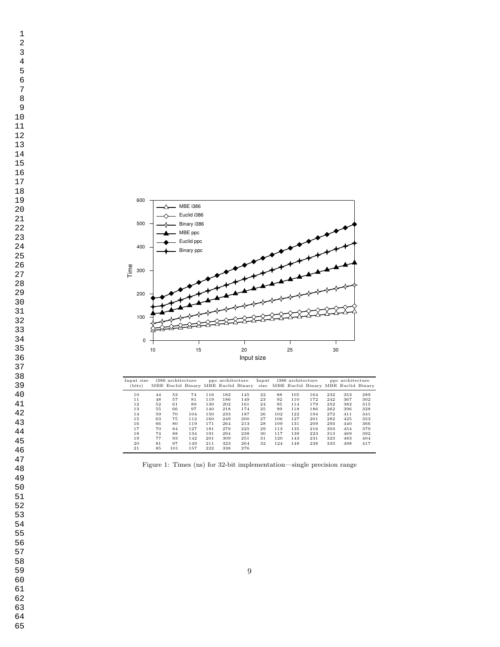

| 36 |                      |          |                   |                                                                       |            |                  | Input size |                   |            |                   |                                     |            |                  |            |
|----|----------------------|----------|-------------------|-----------------------------------------------------------------------|------------|------------------|------------|-------------------|------------|-------------------|-------------------------------------|------------|------------------|------------|
| 37 |                      |          |                   |                                                                       |            |                  |            |                   |            |                   |                                     |            |                  |            |
| 38 |                      |          |                   |                                                                       |            |                  |            |                   |            |                   |                                     |            |                  |            |
| 39 | Input size<br>(bits) |          | i386 architecture | MBE Euclid Binary MBE Euclid Binary                                   |            | ppc architecture |            | Input<br>size     |            | i386 architecture | MBE Euclid Binary MBE Euclid Binary |            | ppc architecture |            |
| 40 | 10                   | 44       | 53                | 74                                                                    | 116        | 182              | 145        | $^{\rm 22}$       | 88         | 105               | 164                                 | 232        | 353              | 289        |
| 41 | 11<br>12             | 48<br>52 | 57<br>61          | 81<br>89                                                              | 119<br>130 | 186<br>202       | 149<br>161 | 23<br>24          | 92<br>95   | 110<br>114        | 172<br>179                          | 242<br>252 | 367<br>382       | 302<br>315 |
| 42 | 13                   | 55       | 66                | 97                                                                    | 140        | 218              | 174        | 25                | 99         | 118<br>122        | 186                                 | 262<br>272 | 396              | 328        |
|    | 14<br>15             | 59<br>63 | 70<br>75          | 104<br>112                                                            | 150<br>160 | 233<br>249       | 187<br>200 | 26<br>$^{\rm 27}$ | 102<br>106 | 127               | 194<br>201                          | 282        | 411<br>425       | 341<br>353 |
| 43 | 16                   | 66       | 80                | 119                                                                   | 171        | 264              | 213        | 28                | 109        | 131               | 209                                 | 293        | 440              | 366        |
| 44 | 17                   | 70       | 84                | 127                                                                   | 181        | 279              | 225        | 29<br>30          | 113        | 135               | 216                                 | 303        | 454              | 379        |
|    | 18<br>19             | 74<br>77 | 88<br>93          | 134<br>142                                                            | 191<br>201 | 294<br>309       | 238<br>251 | 31                | 117<br>120 | 139<br>143        | 223<br>231                          | 313<br>323 | 469<br>483       | 392<br>404 |
| 45 | 20                   | 81       | 97                | 149                                                                   | 211        | 323              | 264        | 32                | 124        | 148               | 238                                 | 333        | 498              | 417        |
| 46 | 21                   | 85       | 101               | 157                                                                   | $\bf 222$  | 338              | 276        |                   |            |                   |                                     |            |                  |            |
| 47 |                      |          |                   |                                                                       |            |                  |            |                   |            |                   |                                     |            |                  |            |
| 48 |                      |          |                   | Figure 1: Times (ns) for 32-bit implementation—single precision range |            |                  |            |                   |            |                   |                                     |            |                  |            |
| 49 |                      |          |                   |                                                                       |            |                  |            |                   |            |                   |                                     |            |                  |            |
| 50 |                      |          |                   |                                                                       |            |                  |            |                   |            |                   |                                     |            |                  |            |
| 51 |                      |          |                   |                                                                       |            |                  |            |                   |            |                   |                                     |            |                  |            |
| 52 |                      |          |                   |                                                                       |            |                  |            |                   |            |                   |                                     |            |                  |            |
| 53 |                      |          |                   |                                                                       |            |                  |            |                   |            |                   |                                     |            |                  |            |
| 54 |                      |          |                   |                                                                       |            |                  |            |                   |            |                   |                                     |            |                  |            |
| 55 |                      |          |                   |                                                                       |            |                  |            |                   |            |                   |                                     |            |                  |            |
| 56 |                      |          |                   |                                                                       |            |                  |            |                   |            |                   |                                     |            |                  |            |
| 57 |                      |          |                   |                                                                       |            |                  |            |                   |            |                   |                                     |            |                  |            |
| 58 |                      |          |                   |                                                                       |            |                  |            |                   |            |                   |                                     |            |                  |            |
| 59 |                      |          |                   |                                                                       |            |                  | 9          |                   |            |                   |                                     |            |                  |            |
| 60 |                      |          |                   |                                                                       |            |                  |            |                   |            |                   |                                     |            |                  |            |
| 61 |                      |          |                   |                                                                       |            |                  |            |                   |            |                   |                                     |            |                  |            |
| 62 |                      |          |                   |                                                                       |            |                  |            |                   |            |                   |                                     |            |                  |            |
| 63 |                      |          |                   |                                                                       |            |                  |            |                   |            |                   |                                     |            |                  |            |
| 64 |                      |          |                   |                                                                       |            |                  |            |                   |            |                   |                                     |            |                  |            |
| 65 |                      |          |                   |                                                                       |            |                  |            |                   |            |                   |                                     |            |                  |            |
|    |                      |          |                   |                                                                       |            |                  |            |                   |            |                   |                                     |            |                  |            |

Figure 1: Times (ns) for 32-bit implementation—single precision range

64<br>65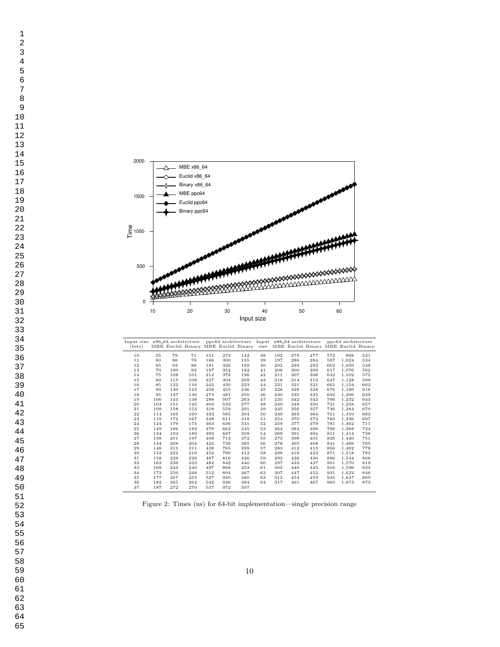

| 32       |                                          |            |                                                                       |            |            |            | Input size                                   |          |            |            |            |            |                                                           |            |
|----------|------------------------------------------|------------|-----------------------------------------------------------------------|------------|------------|------------|----------------------------------------------|----------|------------|------------|------------|------------|-----------------------------------------------------------|------------|
| 33       |                                          |            |                                                                       |            |            |            |                                              |          |            |            |            |            |                                                           |            |
| 34<br>35 | Input size x86_64 architecture<br>(bits) |            | MBE Euclid Binary MBE Euclid Binary                                   |            |            |            | ppc64 architecture Input x86_64 architecture | size     |            |            |            |            | ppc64 architecture<br>MBE Euclid Binary MBE Euclid Binary |            |
| 36       | 10                                       | 55         | 79                                                                    | 71         | 151        | 273        | 142                                          | 38       | 192        | 279        | 277        | 572        | 998                                                       | 521        |
| 37       | $1\,1$<br>$1\,2$                         | 60<br>65   | 86<br>93                                                              | 78<br>86   | 166<br>181 | 300<br>326 | 155<br>169                                   | 39<br>40 | 197<br>202 | 286<br>293 | 284<br>292 | 587<br>602 | 1,024<br>1,050                                            | 534<br>548 |
|          | 13                                       | 70         | 100                                                                   | 93         | 197        | 352        | 182                                          | 41       | 206        | 300        | 299        | 617        | 1,076                                                     | 562        |
| 38       | 14<br>$15\,$                             | 75<br>80   | 108<br>115                                                            | 101<br>108 | 212<br>227 | 378<br>404 | 196<br>209                                   | 42<br>43 | 211<br>216 | 307<br>314 | 306<br>313 | 632<br>647 | 1,102<br>1,128                                            | 575<br>589 |
| 39       | 16                                       | 85         | 122                                                                   | 116        | 242        | 430        | 223                                          | 44       | 221        | 321        | 321        | 661        | 1,154                                                     | 602        |
| 40       | $1\,7$<br>$18\,$                         | 90<br>95   | 130<br>137                                                            | 123<br>130 | 258<br>273 | 455<br>481 | 236<br>250                                   | 45<br>46 | 226<br>230 | 328<br>335 | 328<br>335 | 676<br>692 | 1,180<br>1,206                                            | 616<br>629 |
| 41       | 19                                       | 100        | 144                                                                   | 138        | 288        | 507        | 263                                          | 47       | 235        | 342        | 343        | 706        | 1,232                                                     | 643        |
|          | 20<br>21                                 | 104<br>109 | 151<br>158                                                            | 145<br>153 | 303<br>318 | 533<br>559 | 277<br>291                                   | 48<br>49 | 240<br>245 | 349<br>356 | 350<br>357 | 721<br>736 | 1,258<br>1,284                                            | 657<br>670 |
| 42       | 22                                       | 114        | 165                                                                   | 160        | 333        | 585        | 304                                          | 50       | 249        | 363        | 364        | 751        | 1,310                                                     | 683        |
| 43       | 23<br>24                                 | 119<br>124 | 172<br>179                                                            | 167<br>175 | 348<br>363 | 611<br>636 | 318<br>331                                   | 51<br>52 | 254<br>259 | 370<br>377 | 372<br>379 | 766<br>781 | 1,336<br>1,362                                            | 697<br>711 |
| 44       | 25                                       | 129        | 186                                                                   | 182        | 378        | 662        | 345                                          | 53       | 264        | 384        | 386        | 796        | 1,388                                                     | 724        |
|          | 26<br>27                                 | 134<br>139 | 193<br>201                                                            | 189<br>197 | 393<br>408 | 687<br>713 | 358<br>372                                   | 54<br>55 | 269<br>273 | 391<br>398 | 394<br>401 | 811<br>826 | 1,414<br>1,440                                            | 738<br>751 |
| 45       | 28                                       | 144        | 208                                                                   | 204        | 422        | 739        | 385                                          | 56       | 278        | 405        | 408        | 841        | 1,466                                                     | 765        |
| 46       | 29<br>30                                 | 148<br>153 | 215<br>222                                                            | 211<br>219 | 438<br>452 | 765<br>790 | 399<br>412                                   | 57<br>58 | 283<br>288 | 412<br>419 | 415<br>423 | 856<br>871 | 1,492<br>1,518                                            | 778<br>792 |
| 47       | 31                                       | 158        | 229                                                                   | 226        | 467        | 816        | 426                                          | 59       | 293        | 426        | 430        | 886        | 1,544                                                     | 806        |
|          | $^{\rm 32}$<br>33                        | 163<br>168 | 236<br>243                                                            | 233<br>240 | 482<br>497 | 842<br>868 | 440<br>453                                   | 60<br>61 | 297<br>302 | 433<br>440 | 437<br>445 | 901<br>916 | 1,570<br>1,596                                            | 819<br>833 |
| 48       | 34                                       | 173        | 250                                                                   | 248        | 512        | 894        | 467                                          | 62       | 307        | 447        | 452        | 931        | 1,622                                                     | 846        |
| 49       | 35<br>36                                 | 177<br>182 | 257<br>265                                                            | 255<br>262 | 527<br>542 | 920<br>946 | 480<br>494                                   | 63<br>64 | 312<br>317 | 454<br>461 | 459<br>467 | 945<br>960 | 1,647<br>1,673                                            | 860<br>873 |
| 50       | 37                                       | 187        | 272                                                                   | 270        | 557        | 972        | 507                                          |          |            |            |            |            |                                                           |            |
| 51       |                                          |            |                                                                       |            |            |            |                                              |          |            |            |            |            |                                                           |            |
| 52       |                                          |            | Figure 2: Times (ns) for 64-bit implementation—single precision range |            |            |            |                                              |          |            |            |            |            |                                                           |            |
| 53       |                                          |            |                                                                       |            |            |            |                                              |          |            |            |            |            |                                                           |            |
|          |                                          |            |                                                                       |            |            |            |                                              |          |            |            |            |            |                                                           |            |
| 54       |                                          |            |                                                                       |            |            |            |                                              |          |            |            |            |            |                                                           |            |
| 55       |                                          |            |                                                                       |            |            |            |                                              |          |            |            |            |            |                                                           |            |
| 56       |                                          |            |                                                                       |            |            |            |                                              |          |            |            |            |            |                                                           |            |
| 57       |                                          |            |                                                                       |            |            |            |                                              |          |            |            |            |            |                                                           |            |
| 58       |                                          |            |                                                                       |            |            |            |                                              |          |            |            |            |            |                                                           |            |
| 59       |                                          |            |                                                                       |            |            |            | 10                                           |          |            |            |            |            |                                                           |            |
| 60       |                                          |            |                                                                       |            |            |            |                                              |          |            |            |            |            |                                                           |            |
| 61       |                                          |            |                                                                       |            |            |            |                                              |          |            |            |            |            |                                                           |            |
| 62       |                                          |            |                                                                       |            |            |            |                                              |          |            |            |            |            |                                                           |            |
|          |                                          |            |                                                                       |            |            |            |                                              |          |            |            |            |            |                                                           |            |
| 63       |                                          |            |                                                                       |            |            |            |                                              |          |            |            |            |            |                                                           |            |
| 64       |                                          |            |                                                                       |            |            |            |                                              |          |            |            |            |            |                                                           |            |
| 65       |                                          |            |                                                                       |            |            |            |                                              |          |            |            |            |            |                                                           |            |

Figure 2: Times (ns) for 64-bit implementation—single precision range

 64<br>65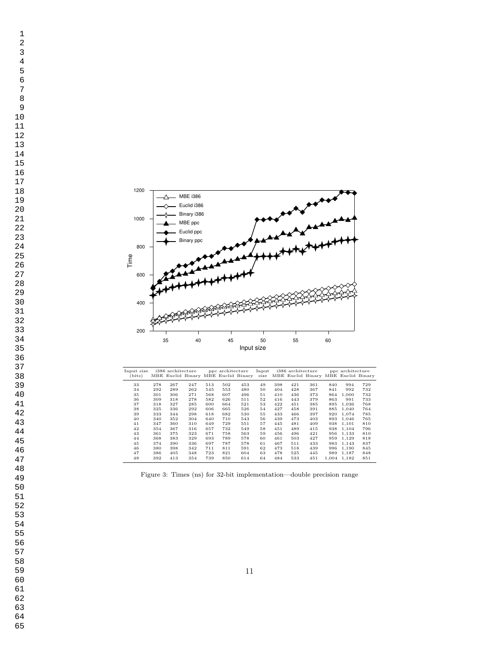

| 35 |                      |            |                                                                       |            |            |                  | Input size |               |            |                   |                                     |            |                          |            |
|----|----------------------|------------|-----------------------------------------------------------------------|------------|------------|------------------|------------|---------------|------------|-------------------|-------------------------------------|------------|--------------------------|------------|
| 36 |                      |            |                                                                       |            |            |                  |            |               |            |                   |                                     |            |                          |            |
| 37 |                      |            |                                                                       |            |            |                  |            |               |            |                   |                                     |            |                          |            |
| 38 | Input size<br>(bits) |            | i386 architecture<br>MBE Euclid Binary MBE Euclid Binary              |            |            | ppc architecture |            | Input<br>size |            | i386 architecture | MBE Euclid Binary MBE Euclid Binary |            | ppc architecture         |            |
| 39 | 33                   | 278        | 267                                                                   | 247        | 513        | 502              | 453        | 49            | 398        | 421               | 361                                 | 840        | 994                      | 729        |
| 40 | 34<br>35             | 292<br>301 | 289<br>306                                                            | 262<br>271 | 545<br>568 | 553<br>607       | 480<br>496 | 50<br>51      | 404<br>410 | 428<br>436        | 367<br>373                          | 841<br>864 | 992<br>1,000             | 732<br>732 |
| 41 | 36<br>37             | 309<br>318 | 318<br>327                                                            | 278<br>285 | 582<br>600 | 626<br>664       | 511<br>521 | 52<br>53      | 416<br>422 | 443<br>451        | 379<br>385                          | 863<br>895 | 991<br>1,036             | 733<br>768 |
|    | 38                   | 325        | 336                                                                   | 292        | 606        | 665              | 526        | 54            | 427        | 458               | 391                                 | 885        | 1,040                    | 764        |
| 42 | 39<br>40             | 333<br>340 | 344<br>352                                                            | 298<br>304 | 618<br>640 | 682<br>710       | 530<br>543 | 55<br>56      | 433<br>439 | 466<br>473        | 397<br>403                          | 920        | 1,074<br>893 1,046       | 785<br>765 |
| 43 | 41                   | 347        | 360                                                                   | 310        | 649        | 729              | 551        | 57            | 445        | 481               | 409                                 | 938        | 1,101                    | 810        |
| 44 | 42<br>43             | 354<br>361 | 367<br>375                                                            | 316<br>323 | 657<br>671 | 732<br>758       | 549<br>563 | 58<br>59      | 451<br>456 | 489<br>496        | 415<br>421                          | 938        | 1,104<br>956 1,133       | 796<br>810 |
| 45 | 44                   | 368        | 383                                                                   | 329        | 693        | 789              | 578        | 60            | 461        | 503               | 427                                 |            | 959 1,129                | 818        |
| 46 | 45<br>46             | 374<br>380 | 390<br>398                                                            | 336<br>342 | 697<br>711 | 787<br>811       | 578<br>591 | 61<br>62      | 467<br>473 | 511<br>518        | 433<br>439                          | 983        | 1,143<br>996 1,190       | 837<br>845 |
| 47 | 47<br>48             | 386<br>392 | 405<br>413                                                            | 348<br>354 | 723<br>739 | 821<br>850       | 604<br>614 | 63<br>64      | 478<br>484 | 525<br>533        | 445<br>451                          |            | 989 1,187<br>1,004 1,182 | 848<br>851 |
|    |                      |            |                                                                       |            |            |                  |            |               |            |                   |                                     |            |                          |            |
| 48 |                      |            | Figure 3: Times (ns) for 32-bit implementation—double precision range |            |            |                  |            |               |            |                   |                                     |            |                          |            |
| 49 |                      |            |                                                                       |            |            |                  |            |               |            |                   |                                     |            |                          |            |
| 50 |                      |            |                                                                       |            |            |                  |            |               |            |                   |                                     |            |                          |            |
| 51 |                      |            |                                                                       |            |            |                  |            |               |            |                   |                                     |            |                          |            |
| 52 |                      |            |                                                                       |            |            |                  |            |               |            |                   |                                     |            |                          |            |
| 53 |                      |            |                                                                       |            |            |                  |            |               |            |                   |                                     |            |                          |            |
| 54 |                      |            |                                                                       |            |            |                  |            |               |            |                   |                                     |            |                          |            |
| 55 |                      |            |                                                                       |            |            |                  |            |               |            |                   |                                     |            |                          |            |
| 56 |                      |            |                                                                       |            |            |                  |            |               |            |                   |                                     |            |                          |            |
| 57 |                      |            |                                                                       |            |            |                  |            |               |            |                   |                                     |            |                          |            |
| 58 |                      |            |                                                                       |            |            |                  |            |               |            |                   |                                     |            |                          |            |
| 59 |                      |            |                                                                       |            |            |                  |            |               |            |                   |                                     |            |                          |            |
|    |                      |            |                                                                       |            |            |                  | 11         |               |            |                   |                                     |            |                          |            |
| 60 |                      |            |                                                                       |            |            |                  |            |               |            |                   |                                     |            |                          |            |
| 61 |                      |            |                                                                       |            |            |                  |            |               |            |                   |                                     |            |                          |            |
| 62 |                      |            |                                                                       |            |            |                  |            |               |            |                   |                                     |            |                          |            |
| 63 |                      |            |                                                                       |            |            |                  |            |               |            |                   |                                     |            |                          |            |
| 64 |                      |            |                                                                       |            |            |                  |            |               |            |                   |                                     |            |                          |            |
| 65 |                      |            |                                                                       |            |            |                  |            |               |            |                   |                                     |            |                          |            |
|    |                      |            |                                                                       |            |            |                  |            |               |            |                   |                                     |            |                          |            |

Figure 3: Times (ns) for 32-bit implementation—double precision range

64<br>65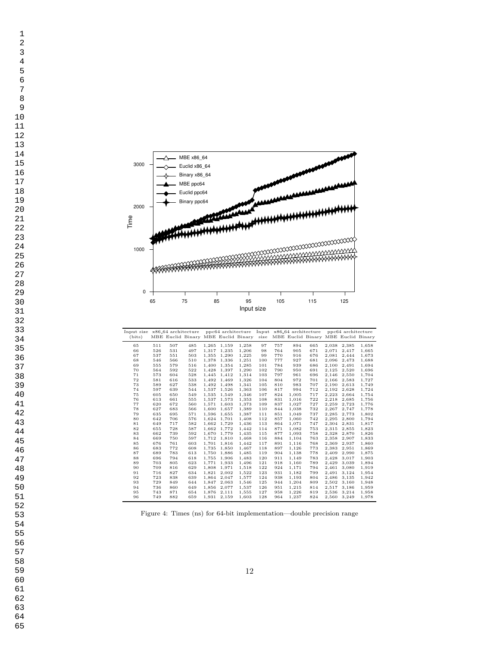

| 31 |                                                                                    |            |            |            |                |                            | Input size                                                            |            |            |                |                                          |                |                            |                |
|----|------------------------------------------------------------------------------------|------------|------------|------------|----------------|----------------------------|-----------------------------------------------------------------------|------------|------------|----------------|------------------------------------------|----------------|----------------------------|----------------|
| 32 |                                                                                    |            |            |            |                |                            |                                                                       |            |            |                |                                          |                |                            |                |
| 33 | Input size $x86.64$ architecture ppc $64$ architecture Input $x86.64$ architecture |            |            |            |                |                            |                                                                       |            |            |                |                                          |                | ppc64 architecture         |                |
| 34 | (bits)                                                                             |            |            |            |                |                            | MBE Euclid Binary MBE Euclid Binary                                   |            |            |                | size MBE Euclid Binary MBE Euclid Binary |                |                            |                |
| 35 | 65<br>66                                                                           | 511<br>526 | 507<br>531 | 485<br>497 | 1,265          | 1,159<br>1,317 1,235       | 1,258<br>1,206                                                        | 97<br>98   | 757<br>764 | 894<br>905     | 665<br>671                               |                | 2,038 2,385<br>2,071 2,417 | 1,658<br>1,665 |
| 36 | 67                                                                                 | 537        | 551        | 503        | 1,355          | 1,290                      | 1,225                                                                 | 99         | 770        | 916            | 676                                      |                | 2,081 2,444                | 1,673          |
| 37 | 68<br>69                                                                           | 546<br>555 | 566<br>579 | 510<br>516 | 1,400          | 1,378 1,336<br>1,354       | 1,251<br>1,285                                                        | 100<br>101 | 777<br>784 | 927<br>939     | 681<br>686                               |                | 2,096 2,473<br>2,100 2,491 | 1,688<br>1,694 |
| 38 | 70<br>71                                                                           | 564<br>573 | 592<br>604 | 522<br>528 | 1,428<br>1,445 | 1,397<br>1,412             | 1,290<br>1,314                                                        | 102<br>103 | 790<br>797 | 950<br>961     | 691<br>696                               | 2,125<br>2,146 | 2,520<br>2,550             | 1,696<br>1,704 |
|    | 72<br>73                                                                           | 581<br>589 | 616<br>627 | 533<br>538 | 1,492          | 1,469                      | 1,326                                                                 | 104<br>105 | 804<br>810 | 972<br>983     | 701<br>707                               | 2,190          | 2,166 2,583                | 1,727<br>1,749 |
| 39 | 74                                                                                 | 597        | 639        | 544        | 1,492<br>1,537 | 1,498<br>1,526             | 1,341<br>1,363                                                        | 106        | 817        | 994            | 712                                      | 2,192          | 2,613<br>2,628             | 1,724          |
| 40 | 75<br>76                                                                           | 605<br>613 | 650<br>661 | 549<br>555 | 1,535<br>1,537 | 1,549<br>1,573             | 1,346<br>1,353                                                        | 107<br>108 | 824<br>831 | 1,005<br>1,016 | 717<br>722                               |                | 2,223 2,664<br>2,218 2,685 | 1,754<br>1,756 |
| 41 | 77                                                                                 | 620        | 672        | 560        | 1,571          | 1,603                      | 1,373                                                                 | 109        | 837        | 1,027          | 727                                      | 2,259          | 2,723                      | 1,776          |
| 42 | 78<br>79                                                                           | 627<br>635 | 683<br>695 | 566<br>571 | 1,596          | 1,600 1,657<br>1,655       | 1,389<br>1,387                                                        | 110<br>111 | 844<br>851 | 1,038<br>1,049 | 732<br>737                               | 2,285          | 2,267 2,747<br>2,773       | 1,778<br>1,802 |
| 43 | 80<br>81                                                                           | 642<br>649 | 706        | 576        |                | 1,624 1,701                | 1,408<br>1,436                                                        | 112<br>113 | 857        | 1,060<br>1,071 | 742<br>747                               | 2,295          | 2,800                      | 1,794          |
|    | 82                                                                                 | 655        | 717<br>728 | 582<br>587 | 1,662<br>1,662 | 1,729<br>1,772             | 1,442                                                                 | 114        | 864<br>871 | 1,082          | 753                                      | 2,304          | 2,831<br>2,315 2,855       | 1,817<br>1,823 |
| 44 | 83<br>84                                                                           | 662<br>669 | 739<br>750 | 592<br>597 |                | 1,670 1,779<br>1,712 1,810 | 1,435<br>1,468                                                        | 115<br>116 | 877<br>884 | 1,093<br>1,104 | 758<br>763                               | 2,328<br>2,358 | 2,870<br>2,907             | 1,826<br>1,833 |
| 45 | 85                                                                                 | 676        | 761        | 603        |                | 1,701 1,816                | 1,442                                                                 | 117        | 891        | 1,116          | 768                                      | 2,369          | 2,937                      | 1,860          |
| 46 | 86<br>87                                                                           | 683<br>689 | 772<br>783 | 608<br>613 | 1,735<br>1,750 | 1,850<br>1,886             | 1,467<br>1,485                                                        | 118<br>119 | 897<br>904 | 1,126<br>1,138 | 773<br>778                               | 2,383<br>2,409 | 2,951<br>2,990             | 1,869<br>1,875 |
| 47 | 88                                                                                 | 696        | 794        | 618        | 1,755          | 1,906                      | 1,483                                                                 | 120        | 911        | 1,149          | 783                                      | 2,428          | 3,017                      | 1,903          |
| 48 | 89<br>90                                                                           | 703<br>709 | 805<br>816 | 623<br>629 | 1,771<br>1,808 | 1,933<br>1,971             | 1,496<br>1,518                                                        | 121<br>122 | 918<br>924 | 1,160<br>1,171 | 789<br>794                               | 2,429<br>2,461 | 3,039<br>3,080             | 1,894<br>1,919 |
|    | 91<br>92                                                                           | 716<br>723 | 827<br>838 | 634<br>639 | 1,864          | 1,821 2,002<br>2,047       | 1,522<br>1,577                                                        | 123<br>124 | 931<br>938 | 1,182<br>1,193 | 799<br>804                               | 2,491<br>2,486 | 3,124<br>3,135             | 1,954<br>1,942 |
| 49 | 93                                                                                 | 729        | 849        | 644        | 1,847          | 2,063                      | 1,546                                                                 | 125        | 944        | 1,204          | 809                                      | 2,502          | 3,160                      | 1,948          |
| 50 | 94<br>95                                                                           | 736<br>743 | 860<br>871 | 649<br>654 | 1,856<br>1,876 | 2,077<br>2,111             | 1,537<br>1,555                                                        | 126<br>127 | 951<br>958 | 1,215<br>1,226 | 814<br>819                               | 2,517<br>2,536 | 3,186<br>3,214             | 1,959<br>1,958 |
| 51 | 96                                                                                 | 749        | 882        | 659        |                | 1,931 2,159                | 1,603                                                                 | 128        | 964        | 1,237          | 824                                      |                | 2,560 3,249                | 1,978          |
| 52 |                                                                                    |            |            |            |                |                            |                                                                       |            |            |                |                                          |                |                            |                |
| 53 |                                                                                    |            |            |            |                |                            | Figure 4: Times (ns) for 64-bit implementation—double precision range |            |            |                |                                          |                |                            |                |
| 54 |                                                                                    |            |            |            |                |                            |                                                                       |            |            |                |                                          |                |                            |                |
| 55 |                                                                                    |            |            |            |                |                            |                                                                       |            |            |                |                                          |                |                            |                |
| 56 |                                                                                    |            |            |            |                |                            |                                                                       |            |            |                |                                          |                |                            |                |
| 57 |                                                                                    |            |            |            |                |                            |                                                                       |            |            |                |                                          |                |                            |                |
| 58 |                                                                                    |            |            |            |                |                            |                                                                       |            |            |                |                                          |                |                            |                |
| 59 |                                                                                    |            |            |            |                |                            | 12                                                                    |            |            |                |                                          |                |                            |                |
| 60 |                                                                                    |            |            |            |                |                            |                                                                       |            |            |                |                                          |                |                            |                |
| 61 |                                                                                    |            |            |            |                |                            |                                                                       |            |            |                |                                          |                |                            |                |
| 62 |                                                                                    |            |            |            |                |                            |                                                                       |            |            |                |                                          |                |                            |                |
| 63 |                                                                                    |            |            |            |                |                            |                                                                       |            |            |                |                                          |                |                            |                |
| 64 |                                                                                    |            |            |            |                |                            |                                                                       |            |            |                |                                          |                |                            |                |
| 65 |                                                                                    |            |            |            |                |                            |                                                                       |            |            |                |                                          |                |                            |                |

Figure 4: Times (ns) for 64-bit implementation—double precision range

 64<br>65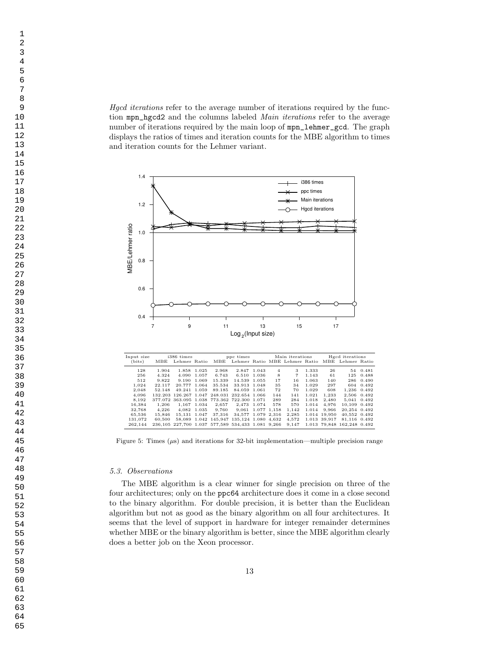Hgcd iterations refer to the average number of iterations required by the function mpn\_hgcd2 and the columns labeled Main iterations refer to the average number of iterations required by the main loop of  $mpn$ <sub>-lehmer-gcd</sub>. The graph displays the ratios of times and iteration counts for the MBE algorithm to times and iteration counts for the Lehmer variant.



| Input size |         | i386 times    |       |                                           | ppc times     |       |       | Main iterations               |       | Hgcd iterations |                            |       |  |
|------------|---------|---------------|-------|-------------------------------------------|---------------|-------|-------|-------------------------------|-------|-----------------|----------------------------|-------|--|
| (bits)     | MBE     | Lehmer Ratio  |       | MBE                                       |               |       |       | Lehmer Ratio MBE Lehmer Ratio |       |                 | MBE Lehmer Ratio           |       |  |
| 128        | 1.904   | 1.858         | 1.025 | 2.968                                     | 2.847 1.043   |       | 4     | 3                             | 1.333 | 26              | 54                         | 0.481 |  |
| 256        | 4.324   | 4.090         | 1.057 | 6.743                                     | 6.510 1.036   |       | 8     |                               | 1.143 | 61              | 125                        | 0.488 |  |
| 512        | 9.822   | 9.190         | 1.069 | 15.339                                    | 14.539 1.055  |       | 17    | 16                            | 1.063 | 140             | 286                        | 0.490 |  |
| 1.024      | 22.117  | 20.777        | 1.064 | 35.534                                    | 33.913 1.048  |       | 35    | 34                            | 1.029 | 297             | 604                        | 0.492 |  |
| 2.048      | 52.148  | 49.241 1.059  |       | 89.185                                    | 84.059 1.061  |       | 72    | 70                            | 1.029 | 608             | 1.236                      | 0.492 |  |
| 4.096      | 132.203 | 126.267 1.047 |       | 248.031                                   | 232.654 1.066 |       | 144   | 141                           | 1.021 | 1.233           | 2.506 0.492                |       |  |
| 8.192      | 377.072 | 363.095       |       | 1.038 773.362 722.300 1.071               |               |       | 289   | 284                           | 1.018 | 2.480           | 5.041 0.492                |       |  |
| 16.384     | 1.206   | 1.167         | 1.034 | 2.657                                     | 2.473         | 1.074 | 578   | 570                           | 1.014 | 4.976           | 10.109 0.492               |       |  |
| 32.768     | 4.226   | 4.082         | 1.035 | 9.760                                     | 9.061         | 1.077 | 1.158 | 1.142                         | 1.014 | 9.966           | 20.254 0.492               |       |  |
| 65.536     | 15.846  | 15.131        | 1.047 | 37.316                                    | 34.577 1.079  |       | 2.316 | 2.285                         |       | 1.014 19.950    | 40.552 0.492               |       |  |
| 131.072    | 60,500  | 58.089        |       | 1.042 145.947                             | 135.124 1.080 |       | 4.632 | 4.572                         |       | 1.013 39.917    | 81.116 0.492               |       |  |
| 262.144    | 236.105 |               |       | 227,700 1.037 577,589 534,433 1.081 9.266 |               |       |       | 9.147                         |       |                 | 1.013 79.848 162.248 0.492 |       |  |
|            |         |               |       |                                           |               |       |       |                               |       |                 |                            |       |  |

Figure 5: Times  $(\mu s)$  and iterations for 32-bit implementation—multiple precision range

#### 5.3. Observations

The MBE algorithm is a clear winner for single precision on three of the four architectures; only on the ppc64 architecture does it come in a close second to the binary algorithm. For double precision, it is better than the Euclidean algorithm but not as good as the binary algorithm on all four architectures. It seems that the level of support in hardware for integer remainder determines whether MBE or the binary algorithm is better, since the MBE algorithm clearly does a better job on the Xeon processor.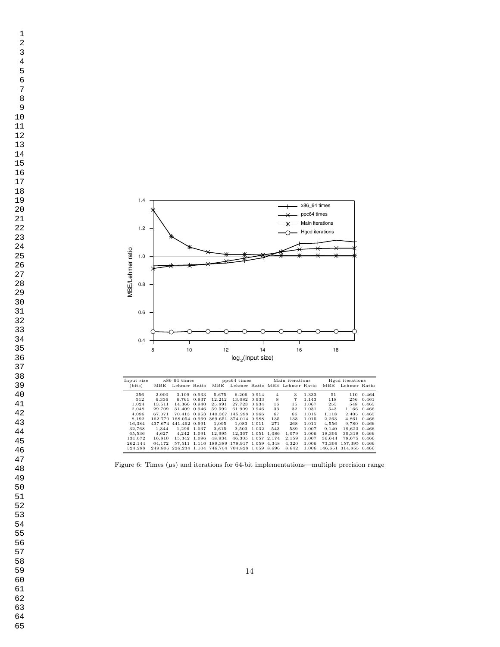

| 36 |                                                                                             |                 |                                |             |                  | $log_2$ (Input size)                                                                          |             |                |                      |                |                |                                                     |                    |
|----|---------------------------------------------------------------------------------------------|-----------------|--------------------------------|-------------|------------------|-----------------------------------------------------------------------------------------------|-------------|----------------|----------------------|----------------|----------------|-----------------------------------------------------|--------------------|
| 37 |                                                                                             |                 |                                |             |                  |                                                                                               |             |                |                      |                |                |                                                     |                    |
| 38 |                                                                                             |                 |                                |             |                  |                                                                                               |             |                |                      |                |                |                                                     |                    |
| 39 | Input size<br>(bits)                                                                        | $_{\rm MBE}$    | $x86.64$ times<br>Lehmer Ratio |             | $_{\rm MBE}$     | ppc64 times<br>Lehmer Ratio MBE Lehmer Ratio                                                  |             |                | Main iterations      |                |                | Hgcd iterations<br>MBE Lehmer Ratio                 |                    |
| 40 | 256                                                                                         | 2.900           |                                | 3.109 0.933 | 5.675            |                                                                                               | 6.206 0.914 | $\overline{4}$ | $\,$ 3               | 1.333          | 51             |                                                     | 110 0.464          |
| 41 | 512<br>1,024                                                                                | 6.336<br>13.511 | 14.366 0.940                   | 6.761 0.937 | 12.212<br>25.891 | 13.082 0.933<br>27.723 0.934                                                                  |             | 8<br>16        | $\overline{7}$<br>15 | 1.143<br>1.067 | 118<br>255     | 548                                                 | 256 0.461<br>0.465 |
|    | 2,048                                                                                       | 29.709          | 31.409 0.946                   |             | 59.592           | 61.909 0.946                                                                                  |             | 33             | 32                   | 1.031          | 543            | 1,166                                               | 0.466              |
| 42 | 4,096                                                                                       | 67.071          |                                |             |                  | 70.413 0.953 140.367 145.298 0.966                                                            |             | 67             | 66                   | 1.015          | 1,118          |                                                     | 2,405 0.465        |
| 43 | 8,192<br>16,384                                                                             | 437.674         | 441.462 0.991                  |             | 1,095            | 162.770 168.054 0.969 369.651 374.014 0.988                                                   | 1,083 1.011 | 135<br>271     | 133<br>268           | 1.015<br>1.011 | 2,263<br>4,556 | 4,861 0.466<br>9,780                                | 0.466              |
|    | 32,768                                                                                      | 1,344           | 1,296 1.037                    |             | 3,615            |                                                                                               | 3,503 1.032 | 543            | 539                  | 1.007          | 9,140          | 19,623 0.466                                        |                    |
| 44 | 65,536                                                                                      | 4,627           |                                | 4,242 1.091 | 12,995           | 12,367 1.051 1,086                                                                            |             |                | 1,079                | 1.006          | 18,306         | 39,318 0.466                                        |                    |
| 45 | 131,072                                                                                     | 16,810          | 15,342 1.096                   |             | 48,934           | 46,305 1.057 2,174                                                                            |             |                | 2,159                | 1.007          | 36,644         | 78,675 0.466                                        |                    |
|    | 262,144<br>524,288                                                                          | 64,172          |                                |             |                  | 57,511 1.116 189,389 178,917 1.059 4,348<br>249,806 226,234 1.104 746,704 704,828 1.059 8,696 |             |                | 4,320<br>8,642       | 1.006          |                | 73,309 157,395 0.466<br>1.006 146,651 314,855 0.466 |                    |
| 46 |                                                                                             |                 |                                |             |                  |                                                                                               |             |                |                      |                |                |                                                     |                    |
| 47 | Figure 6: Times ( $\mu$ s) and iterations for 64-bit implementations—multiple precision ran |                 |                                |             |                  |                                                                                               |             |                |                      |                |                |                                                     |                    |
| 48 |                                                                                             |                 |                                |             |                  |                                                                                               |             |                |                      |                |                |                                                     |                    |
| 49 |                                                                                             |                 |                                |             |                  |                                                                                               |             |                |                      |                |                |                                                     |                    |
| 50 |                                                                                             |                 |                                |             |                  |                                                                                               |             |                |                      |                |                |                                                     |                    |
| 51 |                                                                                             |                 |                                |             |                  |                                                                                               |             |                |                      |                |                |                                                     |                    |
| 52 |                                                                                             |                 |                                |             |                  |                                                                                               |             |                |                      |                |                |                                                     |                    |
| 53 |                                                                                             |                 |                                |             |                  |                                                                                               |             |                |                      |                |                |                                                     |                    |
| 54 |                                                                                             |                 |                                |             |                  |                                                                                               |             |                |                      |                |                |                                                     |                    |
| 55 |                                                                                             |                 |                                |             |                  |                                                                                               |             |                |                      |                |                |                                                     |                    |
| 56 |                                                                                             |                 |                                |             |                  |                                                                                               |             |                |                      |                |                |                                                     |                    |
| 57 |                                                                                             |                 |                                |             |                  |                                                                                               |             |                |                      |                |                |                                                     |                    |
| 58 |                                                                                             |                 |                                |             |                  |                                                                                               |             |                |                      |                |                |                                                     |                    |
| 59 |                                                                                             |                 |                                |             |                  |                                                                                               | 14          |                |                      |                |                |                                                     |                    |
| 60 |                                                                                             |                 |                                |             |                  |                                                                                               |             |                |                      |                |                |                                                     |                    |
| 61 |                                                                                             |                 |                                |             |                  |                                                                                               |             |                |                      |                |                |                                                     |                    |
| 62 |                                                                                             |                 |                                |             |                  |                                                                                               |             |                |                      |                |                |                                                     |                    |
| 63 |                                                                                             |                 |                                |             |                  |                                                                                               |             |                |                      |                |                |                                                     |                    |
| 64 |                                                                                             |                 |                                |             |                  |                                                                                               |             |                |                      |                |                |                                                     |                    |
| 65 |                                                                                             |                 |                                |             |                  |                                                                                               |             |                |                      |                |                |                                                     |                    |
|    |                                                                                             |                 |                                |             |                  |                                                                                               |             |                |                      |                |                |                                                     |                    |

Figure 6: Times  $(\mu s)$  and iterations for 64-bit implementations—multiple precision range

64<br>65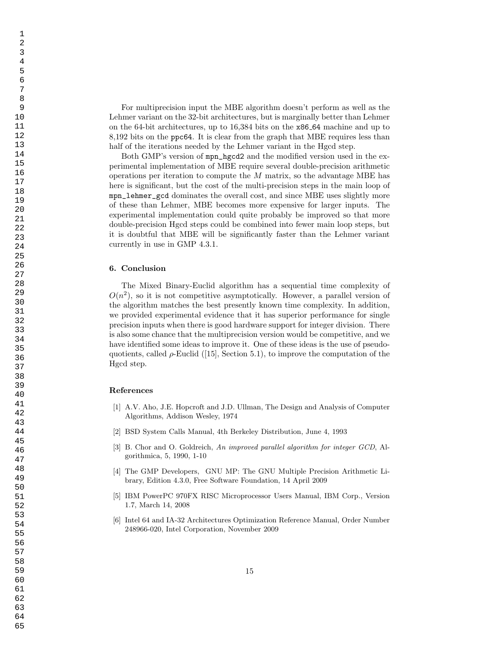For multiprecision input the MBE algorithm doesn't perform as well as the Lehmer variant on the 32-bit architectures, but is marginally better than Lehmer on the 64-bit architectures, up to 16,384 bits on the x86 64 machine and up to 8,192 bits on the ppc64. It is clear from the graph that MBE requires less than half of the iterations needed by the Lehmer variant in the Hgcd step.

Both GMP's version of mpn\_hgcd2 and the modified version used in the experimental implementation of MBE require several double-precision arithmetic operations per iteration to compute the  $M$  matrix, so the advantage MBE has here is significant, but the cost of the multi-precision steps in the main loop of mpn\_lehmer\_gcd dominates the overall cost, and since MBE uses slightly more of these than Lehmer, MBE becomes more expensive for larger inputs. The experimental implementation could quite probably be improved so that more double-precision Hgcd steps could be combined into fewer main loop steps, but it is doubtful that MBE will be significantly faster than the Lehmer variant currently in use in GMP 4.3.1.

# 6. Conclusion

The Mixed Binary-Euclid algorithm has a sequential time complexity of  $O(n^2)$ , so it is not competitive asymptotically. However, a parallel version of the algorithm matches the best presently known time complexity. In addition, we provided experimental evidence that it has superior performance for single precision inputs when there is good hardware support for integer division. There is also some chance that the multiprecision version would be competitive, and we have identified some ideas to improve it. One of these ideas is the use of pseudoquotients, called  $\rho$ -Euclid ([15], Section 5.1), to improve the computation of the Hgcd step.

## References

- [1] A.V. Aho, J.E. Hopcroft and J.D. Ullman, The Design and Analysis of Computer Algorithms, Addison Wesley, 1974
- [2] BSD System Calls Manual, 4th Berkeley Distribution, June 4, 1993
- [3] B. Chor and O. Goldreich, An improved parallel algorithm for integer GCD, Algorithmica, 5, 1990, 1-10
- [4] The GMP Developers, GNU MP: The GNU Multiple Precision Arithmetic Library, Edition 4.3.0, Free Software Foundation, 14 April 2009
- [5] IBM PowerPC 970FX RISC Microprocessor Users Manual, IBM Corp., Version 1.7, March 14, 2008
- [6] Intel 64 and IA-32 Architectures Optimization Reference Manual, Order Number 248966-020, Intel Corporation, November 2009